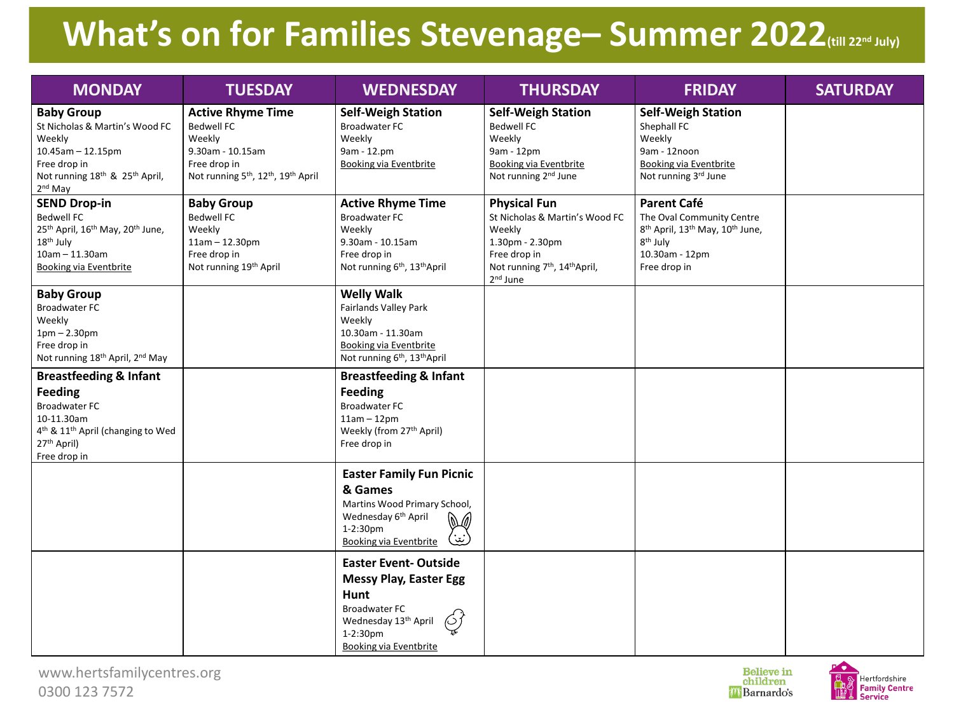## **What's on for Families Stevenage– Summer 2022(till 22nd July)**

| <b>MONDAY</b>                                                                                                                                                                                     | <b>TUESDAY</b>                                                                                                                                                         | <b>WEDNESDAY</b>                                                                                                                                                          | <b>THURSDAY</b>                                                                                                                                                                     | <b>FRIDAY</b>                                                                                                                                                                    | <b>SATURDAY</b> |
|---------------------------------------------------------------------------------------------------------------------------------------------------------------------------------------------------|------------------------------------------------------------------------------------------------------------------------------------------------------------------------|---------------------------------------------------------------------------------------------------------------------------------------------------------------------------|-------------------------------------------------------------------------------------------------------------------------------------------------------------------------------------|----------------------------------------------------------------------------------------------------------------------------------------------------------------------------------|-----------------|
| <b>Baby Group</b><br>St Nicholas & Martin's Wood FC<br>Weekly<br>$10.45$ am - 12.15pm<br>Free drop in<br>Not running 18 <sup>th</sup> & 25 <sup>th</sup> April,<br>2 <sup>nd</sup> May            | <b>Active Rhyme Time</b><br><b>Bedwell FC</b><br>Weekly<br>9.30am - 10.15am<br>Free drop in<br>Not running 5 <sup>th</sup> , 12 <sup>th</sup> , 19 <sup>th</sup> April | <b>Self-Weigh Station</b><br><b>Broadwater FC</b><br>Weekly<br>9am - 12.pm<br><b>Booking via Eventbrite</b>                                                               | <b>Self-Weigh Station</b><br><b>Bedwell FC</b><br>Weekly<br>9am - 12pm<br><b>Booking via Eventbrite</b><br>Not running 2 <sup>nd</sup> June                                         | <b>Self-Weigh Station</b><br>Shephall FC<br>Weekly<br>9am - 12noon<br><b>Booking via Eventbrite</b><br>Not running 3rd June                                                      |                 |
| <b>SEND Drop-in</b><br><b>Bedwell FC</b><br>25 <sup>th</sup> April, 16 <sup>th</sup> May, 20 <sup>th</sup> June,<br>18 <sup>th</sup> July<br>$10am - 11.30am$<br><b>Booking via Eventbrite</b>    | <b>Baby Group</b><br><b>Bedwell FC</b><br>Weekly<br>$11am - 12.30pm$<br>Free drop in<br>Not running 19 <sup>th</sup> April                                             | <b>Active Rhyme Time</b><br><b>Broadwater FC</b><br>Weekly<br>9.30am - 10.15am<br>Free drop in<br>Not running 6 <sup>th</sup> , 13 <sup>th</sup> April                    | <b>Physical Fun</b><br>St Nicholas & Martin's Wood FC<br>Weekly<br>1.30pm - 2.30pm<br>Free drop in<br>Not running 7 <sup>th</sup> , 14 <sup>th</sup> April,<br>2 <sup>nd</sup> June | <b>Parent Café</b><br>The Oval Community Centre<br>8 <sup>th</sup> April, 13 <sup>th</sup> May, 10 <sup>th</sup> June,<br>8 <sup>th</sup> July<br>10.30am - 12pm<br>Free drop in |                 |
| <b>Baby Group</b><br><b>Broadwater FC</b><br>Weekly<br>$1pm - 2.30pm$<br>Free drop in<br>Not running 18 <sup>th</sup> April, 2 <sup>nd</sup> May                                                  |                                                                                                                                                                        | <b>Welly Walk</b><br><b>Fairlands Valley Park</b><br>Weekly<br>10.30am - 11.30am<br><b>Booking via Eventbrite</b><br>Not running 6 <sup>th</sup> , 13 <sup>th</sup> April |                                                                                                                                                                                     |                                                                                                                                                                                  |                 |
| <b>Breastfeeding &amp; Infant</b><br><b>Feeding</b><br><b>Broadwater FC</b><br>10-11.30am<br>4 <sup>th</sup> & 11 <sup>th</sup> April (changing to Wed<br>27 <sup>th</sup> April)<br>Free drop in |                                                                                                                                                                        | <b>Breastfeeding &amp; Infant</b><br><b>Feeding</b><br><b>Broadwater FC</b><br>$11am - 12pm$<br>Weekly (from 27 <sup>th</sup> April)<br>Free drop in                      |                                                                                                                                                                                     |                                                                                                                                                                                  |                 |
|                                                                                                                                                                                                   |                                                                                                                                                                        | <b>Easter Family Fun Picnic</b><br>& Games<br>Martins Wood Primary School,<br>Wednesday 6 <sup>th</sup> April<br>$1-2:30$ pm<br>(نين<br><b>Booking via Eventbrite</b>     |                                                                                                                                                                                     |                                                                                                                                                                                  |                 |
|                                                                                                                                                                                                   |                                                                                                                                                                        | <b>Easter Event-Outside</b><br><b>Messy Play, Easter Egg</b><br>Hunt<br><b>Broadwater FC</b><br>Wednesday 13th April<br>1-2:30pm<br><b>Booking via Eventbrite</b>         |                                                                                                                                                                                     |                                                                                                                                                                                  |                 |



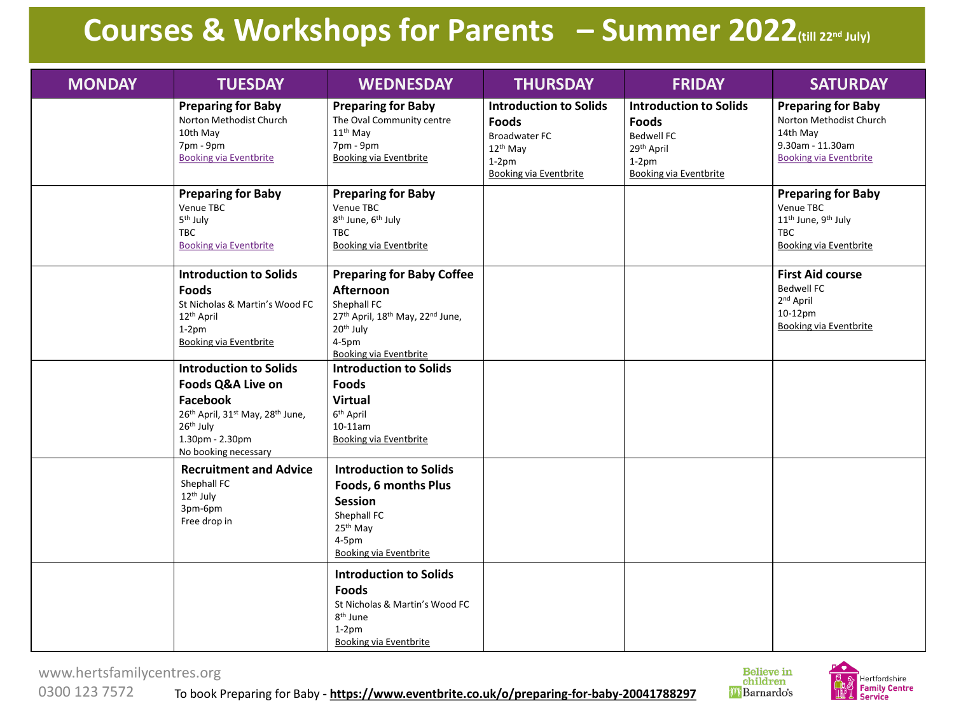## **Courses & Workshops for Parents – Summer 2022(till 22nd July)**

| <b>MONDAY</b> | <b>TUESDAY</b>                                                                                                                                                                                                        | <b>WEDNESDAY</b>                                                                                                                                                       | <b>THURSDAY</b>                                                                                                                 | <b>FRIDAY</b>                                                                                                                            | <b>SATURDAY</b>                                                                                                                      |
|---------------|-----------------------------------------------------------------------------------------------------------------------------------------------------------------------------------------------------------------------|------------------------------------------------------------------------------------------------------------------------------------------------------------------------|---------------------------------------------------------------------------------------------------------------------------------|------------------------------------------------------------------------------------------------------------------------------------------|--------------------------------------------------------------------------------------------------------------------------------------|
|               | <b>Preparing for Baby</b><br>Norton Methodist Church<br>10th May<br>7pm - 9pm<br><b>Booking via Eventbrite</b>                                                                                                        | <b>Preparing for Baby</b><br>The Oval Community centre<br>$11th$ May<br>7pm - 9pm<br><b>Booking via Eventbrite</b>                                                     | <b>Introduction to Solids</b><br><b>Foods</b><br><b>Broadwater FC</b><br>$12th$ May<br>$1-2pm$<br><b>Booking via Eventbrite</b> | <b>Introduction to Solids</b><br><b>Foods</b><br><b>Bedwell FC</b><br>29 <sup>th</sup> April<br>$1-2pm$<br><b>Booking via Eventbrite</b> | <b>Preparing for Baby</b><br>Norton Methodist Church<br>14th May<br>9.30am - 11.30am<br><b>Booking via Eventbrite</b>                |
|               | <b>Preparing for Baby</b><br>Venue TBC<br>5 <sup>th</sup> July<br><b>TBC</b><br><b>Booking via Eventbrite</b>                                                                                                         | <b>Preparing for Baby</b><br>Venue TBC<br>8 <sup>th</sup> June, 6 <sup>th</sup> July<br><b>TBC</b><br><b>Booking via Eventbrite</b>                                    |                                                                                                                                 |                                                                                                                                          | <b>Preparing for Baby</b><br>Venue TBC<br>11 <sup>th</sup> June, 9 <sup>th</sup> July<br><b>TBC</b><br><b>Booking via Eventbrite</b> |
|               | <b>Introduction to Solids</b><br><b>Foods</b><br>St Nicholas & Martin's Wood FC<br>12 <sup>th</sup> April<br>$1-2pm$<br><b>Booking via Eventbrite</b>                                                                 | <b>Preparing for Baby Coffee</b><br>Afternoon<br>Shephall FC<br>27th April, 18th May, 22nd June,<br>20 <sup>th</sup> July<br>$4-5$ pm<br><b>Booking via Eventbrite</b> |                                                                                                                                 |                                                                                                                                          | <b>First Aid course</b><br><b>Bedwell FC</b><br>2 <sup>nd</sup> April<br>10-12pm<br><b>Booking via Eventbrite</b>                    |
|               | <b>Introduction to Solids</b><br><b>Foods Q&amp;A Live on</b><br>Facebook<br>26 <sup>th</sup> April, 31 <sup>st</sup> May, 28 <sup>th</sup> June,<br>26 <sup>th</sup> July<br>1.30pm - 2.30pm<br>No booking necessary | <b>Introduction to Solids</b><br><b>Foods</b><br><b>Virtual</b><br>6 <sup>th</sup> April<br>$10-11$ am<br><b>Booking via Eventbrite</b>                                |                                                                                                                                 |                                                                                                                                          |                                                                                                                                      |
|               | <b>Recruitment and Advice</b><br>Shephall FC<br>12 <sup>th</sup> July<br>3pm-6pm<br>Free drop in                                                                                                                      | <b>Introduction to Solids</b><br>Foods, 6 months Plus<br><b>Session</b><br>Shephall FC<br>25 <sup>th</sup> May<br>$4-5pm$<br><b>Booking via Eventbrite</b>             |                                                                                                                                 |                                                                                                                                          |                                                                                                                                      |
|               |                                                                                                                                                                                                                       | <b>Introduction to Solids</b><br><b>Foods</b><br>St Nicholas & Martin's Wood FC<br>8 <sup>th</sup> June<br>$1-2pm$<br><b>Booking via Eventbrite</b>                    |                                                                                                                                 |                                                                                                                                          |                                                                                                                                      |

www.hertsfamilycentres.org

Believe in<br>children *i* **Barnardo's** 



To book Preparing for Baby **- https://www.eventbrite.co.uk/o/preparing-for-baby-20041788297** 0300 123 7572